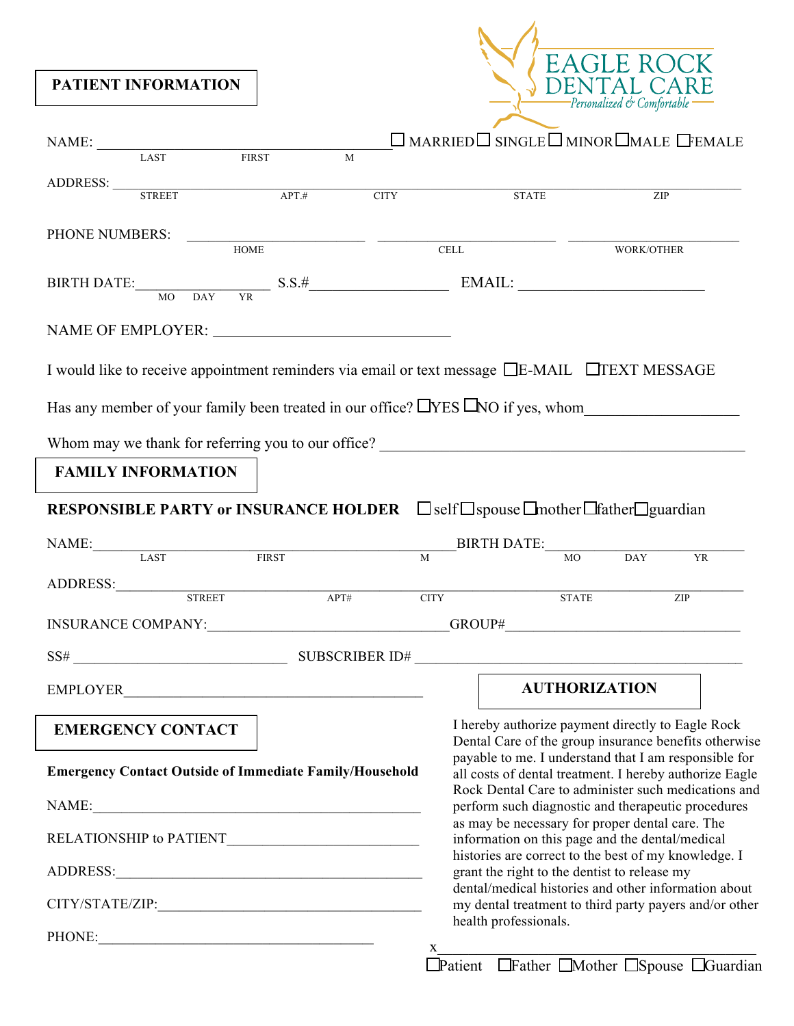**PATIENT INFORMATION**



| NAME: $\frac{1}{1 + \text{NT}}$ FIRST                                                                              |   |   | $\Box$ MARRIED $\Box$ SINGLE $\Box$ MINOR $\Box$ MALE $\Box$ FEMALE                                                                     |                      |  |
|--------------------------------------------------------------------------------------------------------------------|---|---|-----------------------------------------------------------------------------------------------------------------------------------------|----------------------|--|
|                                                                                                                    | M |   |                                                                                                                                         |                      |  |
| ADDRESS: $\overline{\text{STREET}}$ APT.# CITY                                                                     |   |   | <b>STATE</b>                                                                                                                            | ZIP                  |  |
| PHONE NUMBERS:                                                                                                     |   |   |                                                                                                                                         |                      |  |
|                                                                                                                    |   |   |                                                                                                                                         | WORK/OTHER           |  |
| BIRTH DATE: $\frac{\text{S.S.}\#}{\text{MO} \quad \text{DAY} \quad \text{YR}}$ S.S. $\frac{\#}{\text{MAL}}$ EMAIL: |   |   |                                                                                                                                         |                      |  |
|                                                                                                                    |   |   |                                                                                                                                         |                      |  |
| I would like to receive appointment reminders via email or text message □E-MAIL □TEXT MESSAGE                      |   |   |                                                                                                                                         |                      |  |
| Has any member of your family been treated in our office? $\Box$ YES $\Box$ NO if yes, whom                        |   |   |                                                                                                                                         |                      |  |
|                                                                                                                    |   |   |                                                                                                                                         |                      |  |
| <b>FAMILY INFORMATION</b>                                                                                          |   |   |                                                                                                                                         |                      |  |
| <b>RESPONSIBLE PARTY or INSURANCE HOLDER</b> □ self□ spouse □ mother□ father□ guardian                             |   |   |                                                                                                                                         |                      |  |
| NAME: LAST FIRST BIRTH DATE: MO DAY YR                                                                             |   |   |                                                                                                                                         |                      |  |
|                                                                                                                    |   |   |                                                                                                                                         |                      |  |
| ADDRESS: STREET APT# CITY STATE                                                                                    |   |   |                                                                                                                                         | ZIP                  |  |
| INSURANCE COMPANY:_______________________________GROUP#_________________________                                   |   |   |                                                                                                                                         |                      |  |
|                                                                                                                    |   |   |                                                                                                                                         |                      |  |
|                                                                                                                    |   |   |                                                                                                                                         | <b>AUTHORIZATION</b> |  |
| <b>EMERGENCY CONTACT</b>                                                                                           |   |   | I hereby authorize payment directly to Eagle Rock<br>Dental Care of the group insurance benefits otherwise                              |                      |  |
| <b>Emergency Contact Outside of Immediate Family/Household</b>                                                     |   |   | payable to me. I understand that I am responsible for<br>all costs of dental treatment. I hereby authorize Eagle                        |                      |  |
|                                                                                                                    |   |   | Rock Dental Care to administer such medications and<br>perform such diagnostic and therapeutic procedures                               |                      |  |
|                                                                                                                    |   |   | as may be necessary for proper dental care. The<br>information on this page and the dental/medical                                      |                      |  |
|                                                                                                                    |   |   | histories are correct to the best of my knowledge. I<br>grant the right to the dentist to release my                                    |                      |  |
|                                                                                                                    |   |   | dental/medical histories and other information about<br>my dental treatment to third party payers and/or other<br>health professionals. |                      |  |
| PHONE:                                                                                                             |   |   |                                                                                                                                         |                      |  |
|                                                                                                                    |   | X | Patient Father Mother Spouse Guardian                                                                                                   |                      |  |